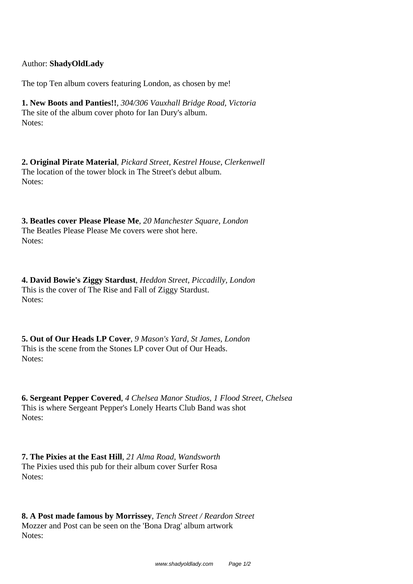Author: **ShadyOldLady**

The top Ten album covers featuring London, as chosen by me!

**1. New Boots and Panties!!**, *304/306 Vauxhall Bridge Road, Victoria* The site of the album cover photo for Ian Dury's album. Notes:

**2. Original Pirate Material**, *Pickard Street, Kestrel House, Clerkenwell* The location of the tower block in The Street's debut album. Notes:

**3. Beatles cover Please Please Me**, *20 Manchester Square, London* The Beatles Please Please Me covers were shot here. Notes:

**4. David Bowie's Ziggy Stardust**, *Heddon Street, Piccadilly, London* This is the cover of The Rise and Fall of Ziggy Stardust. Notes:

**5. Out of Our Heads LP Cover**, *9 Mason's Yard, St James, London* This is the scene from the Stones LP cover Out of Our Heads. Notes:

**6. Sergeant Pepper Covered**, *4 Chelsea Manor Studios, 1 Flood Street, Chelsea* This is where Sergeant Pepper's Lonely Hearts Club Band was shot Notes:

**7. The Pixies at the East Hill**, *21 Alma Road, Wandsworth* The Pixies used this pub for their album cover Surfer Rosa Notes:

**8. A Post made famous by Morrissey**, *Tench Street / Reardon Street* Mozzer and Post can be seen on the 'Bona Drag' album artwork Notes: